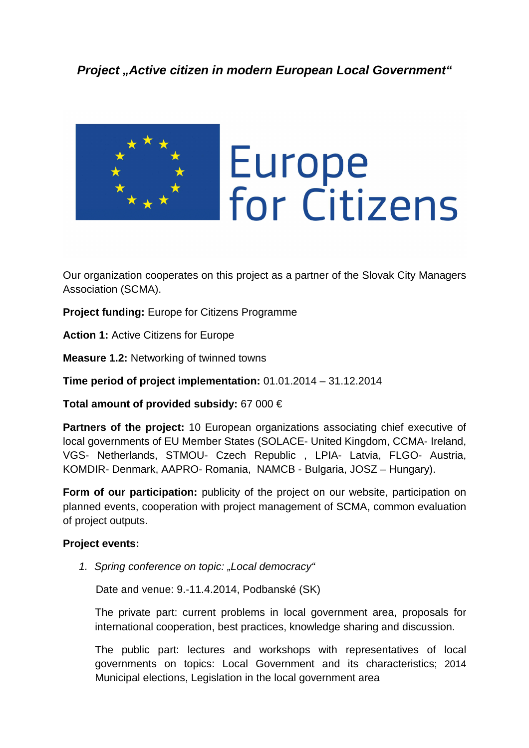

Our organization cooperates on this project as a partner of the Slovak City Managers Association (SCMA).

**Project funding:** Europe for Citizens Programme

**Action 1:** Active Citizens for Europe

**Measure 1.2:** Networking of twinned towns

**Time period of project implementation:** 01.01.2014 – 31.12.2014

**Total amount of provided subsidy:** 67 000 €

**Partners of the project:** 10 European organizations associating chief executive of local governments of EU Member States (SOLACE- United Kingdom, CCMA- Ireland, VGS- Netherlands, STMOU- Czech Republic , LPIA- Latvia, FLGO- Austria, KOMDIR- Denmark, AAPRO- Romania, NAMCB - Bulgaria, JOSZ – Hungary).

**Form of our participation:** publicity of the project on our website, participation on planned events, cooperation with project management of SCMA, common evaluation of project outputs.

## **Project events:**

1. Spring conference on topic: "Local democracy"

Date and venue: 9.-11.4.2014, Podbanské (SK)

The private part: current problems in local government area, proposals for international cooperation, best practices, knowledge sharing and discussion.

The public part: lectures and workshops with representatives of local governments on topics: Local Government and its characteristics; 2014 Municipal elections, Legislation in the local government area